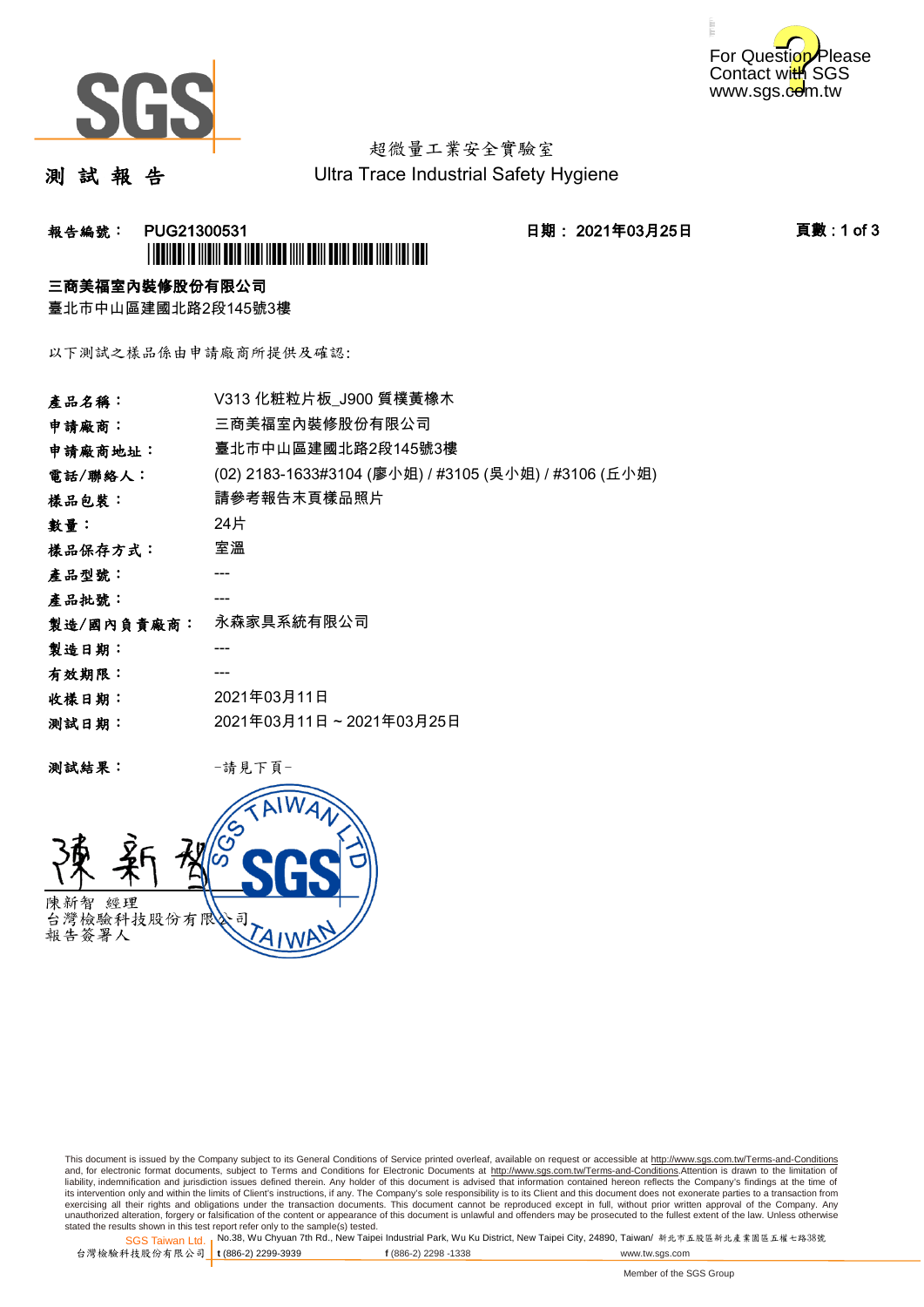



## 超微量工業安全實驗室

測 試 報 告

Ultra Trace Industrial Safety Hygiene

## **報告編號: PUG21300531 日期: 2021年03月25日 頁數:1 of 3** \*PUG21300531\*

### 三商美福室內裝修股份有限公司

臺北市中山區建國北路2段145號3樓

以下測試之樣品係由申請廠商所提供及確認:

| 產品名稱:      | V313 化粧粒片板 J900 質樸黃橡木                                 |
|------------|-------------------------------------------------------|
| 申請廠商:      | 三商美福室內裝修股份有限公司                                        |
| 申請廠商地址:    | 臺北市中山區建國北路2段145號3樓                                    |
| 電話/聯絡人:    | (02) 2183-1633#3104 (廖小姐) / #3105 (吳小姐) / #3106 (丘小姐) |
| 樣品包裝:      | 請參考報告末頁樣品照片                                           |
| 數量:        | 24片                                                   |
| 樣品保存方式:    | 室溫                                                    |
| 產品型號:      |                                                       |
| 產品批號:      |                                                       |
| 製造/國內負責廠商: | 永森家具系統有限公司                                            |
| 製造日期:      |                                                       |
| 有效期限:      |                                                       |
| 收樣日期:      | 2021年03月11日                                           |
| 测試日期:      | 2021年03月11日~2021年03月25日                               |
|            |                                                       |

测試結果: 一請見下頁



This document is issued by the Company subject to its General Conditions of Service printed overleaf, available on request or accessible at http://www.sgs.com.tw/Terms-and-Conditions and, for electronic format documents, subject to Terms and Conditions for Electronic Documents at <u>http://www.sgs.com.tw/Terms-and-Conditions</u>.Attention is drawn to the limitation of<br>liability, indemnification and jurisdic exercising all their rights and obligations under the transaction documents. This document cannot be reproduced except in full, without prior written approval of the Company. Any<br>unauthorized alteration, forgery or falsifi

SGS Taiwan Ltd. 1 stated the results shown in this test report refer only to the sample(s) tested.<br>Stated the results shown in this test report refer only to the sample(s) tested.

台灣檢驗科技股份有限公司

**t** (886-2) 2299-3939 **f** (886-2) 2298 -1338 www.tw.sgs.com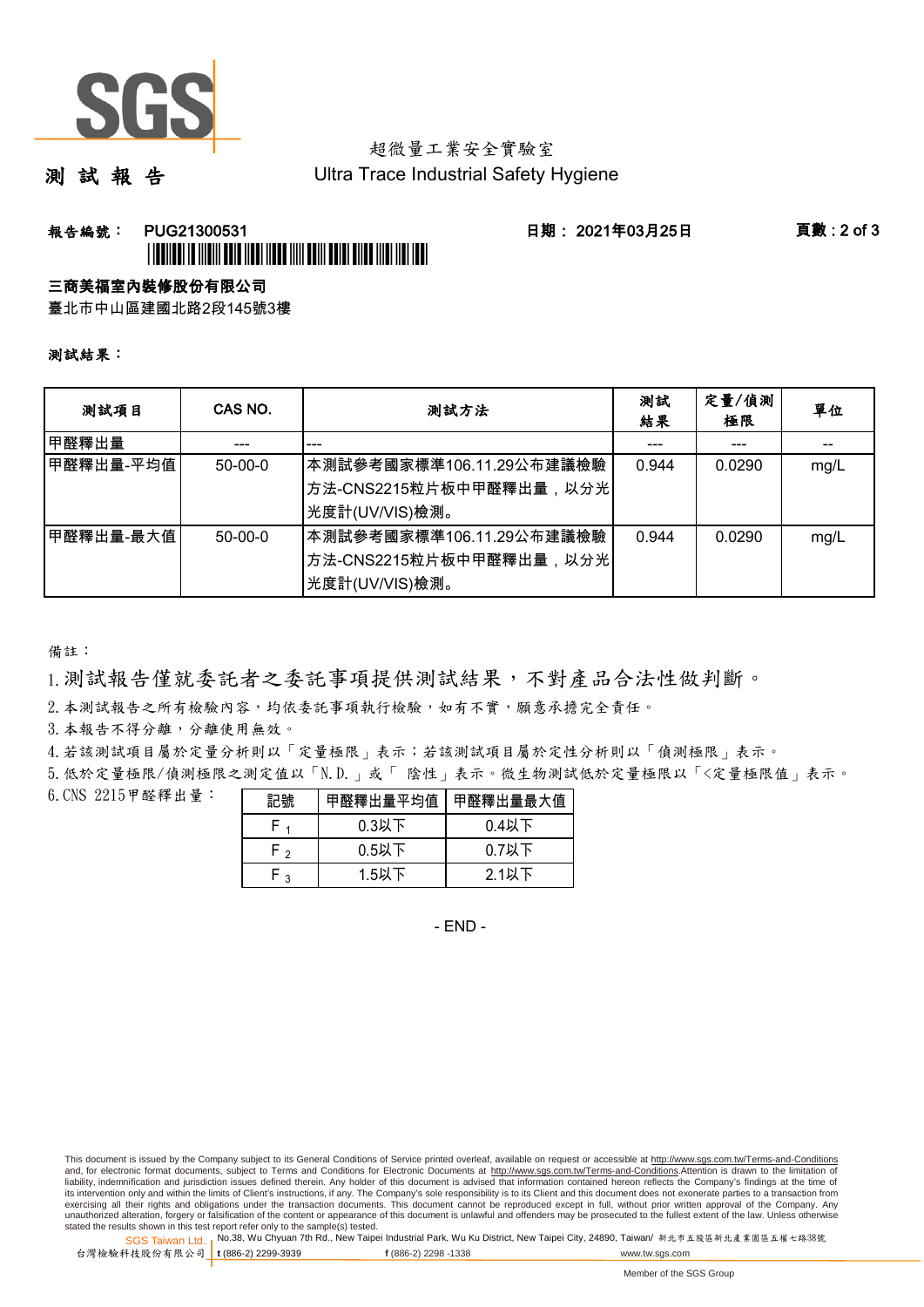

## 超微量工業安全實驗室

測 試 報 告

Ultra Trace Industrial Safety Hygiene

### **報告編號: PUG21300531 日期: 2021年03月25日 頁數:2 of 3** \*PUGE 19 YO 19 YO 19 YO 19 YO 19 YO 19 YO 19 YO 19 YO 19 YO 19 YO 19 YO 19 YO 19 YO 19 YO 19 YO 19 YO 19 YO 19

#### 三商美福室內裝修股份有限公司

臺北市中山區建國北路2段145號3樓

#### 測試結果:

| 测試項目      | CAS NO.       | 測試方法                                                                                 | 測試<br>結果 | 定量/偵測<br>極限 | 單位   |
|-----------|---------------|--------------------------------------------------------------------------------------|----------|-------------|------|
| 甲醛釋出量     |               |                                                                                      |          |             |      |
| 甲醛釋出量-平均值 | $50-00-0$     | 本測試參考國家標準106.11.29公布建議檢驗<br>│方法-CNS2215粒片板中甲醛釋出量,以分光│<br>光度計(UV/VIS)檢測。              | 0.944    | 0.0290      | mg/L |
| 甲醛釋出量-最大值 | $50 - 00 - 0$ | ┃本測試參考國家標準106.11.29公布建議檢驗<br><sup> </sup> 方法-CNS2215粒片板中甲醛釋出量,以分光 <br>光度計(UV/VIS)檢測。 | 0.944    | 0.0290      | mg/L |

備註:

1.測試報告僅就委託者之委託事項提供測試結果,不對產品合法性做判斷。

2.本測試報告之所有檢驗內容,均依委託事項執行檢驗,如有不實,願意承擔完全責任。

3. 本報告不得分離,分離使用無效。

4.若該測試項目屬於定量分析則以「定量極限」表示;若該測試項目屬於定性分析則以「偵測極限」表示。

5.低於定量極限/偵測極限之測定值以「N.D.」或「 陰性」表示。微生物測試低於定量極限以「<定量極限值」表示。

6.CNS 2215甲醛釋出量:

| 記號  | 甲醛釋出量平均值 | 甲醛釋出量最大值 |
|-----|----------|----------|
|     | $0.3$ 以下 | $0.4$ 以下 |
| ∼ ⊤ | $0.5$ 以下 | $0.7$ 以下 |
| ົ   | $1.5$ 以下 | $2.1$ 以下 |

- END -

This document is issued by the Company subject to its General Conditions of Service printed overleaf, available on request or accessible at http://www.sgs.com.tw/Terms-and-Conditions and, for electronic format documents, subject to Terms and Conditions for Electronic Documents at http://www.sgs.com.tw/Terms-and-Conditions.Attention is drawn to the limitation of liability, indemnification and jurisdiction issues defined therein. Any holder of this document is advised that information contained hereon reflects the Company's findings at the time of<br>its intervention only and within t exercising all their rights and obligations under the transaction documents. This document cannot be reproduced except in full, without prior written approval of the Company. Any<br>unauthorized alteration, forgery or falsifi

SGS Taiwan Ltd. 1 stated the results shown in this test report refer only to the sample(s) tested.<br>Stated the results shown in this test report refer only to the sample(s) tested.

台灣檢驗科技股份有限公司

**t** (886-2) 2299-3939 **f** (886-2) 2298 -1338 www.tw.sgs.com